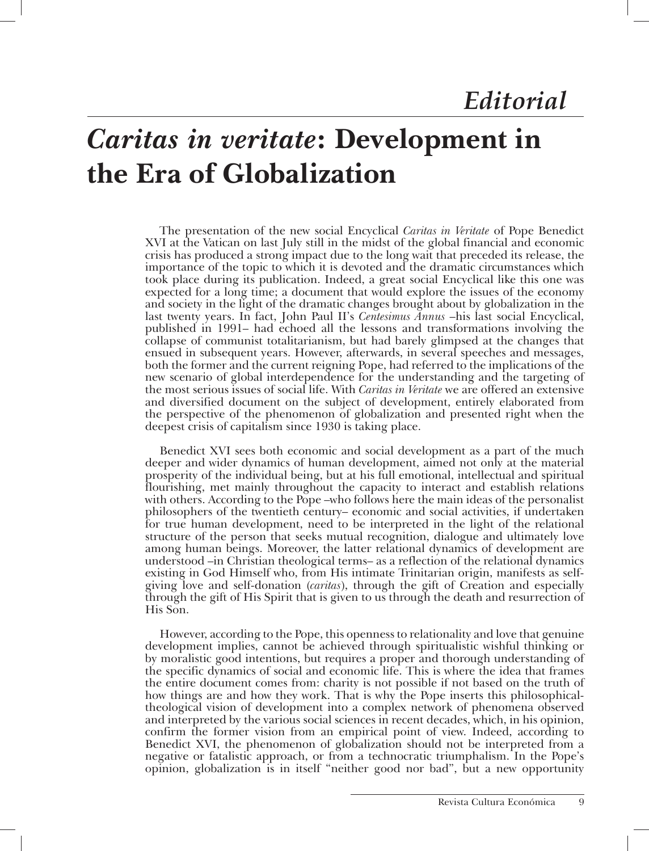## *Caritas in veritate***: Development in the Era of Globalization**

The presentation of the new social Encyclical *Caritas in Veritate* of Pope Benedict XVI at the Vatican on last July still in the midst of the global financial and economic crisis has produced a strong impact due to the long wait that preceded its release, the importance of the topic to which it is devoted and the dramatic circumstances which took place during its publication. Indeed, a great social Encyclical like this one was expected for a long time; a document that would explore the issues of the economy and society in the light of the dramatic changes brought about by globalization in the last twenty years. In fact, John Paul II's *Centesimus Annus* –his last social Encyclical, published in 1991– had echoed all the lessons and transformations involving the collapse of communist totalitarianism, but had barely glimpsed at the changes that ensued in subsequent years. However, afterwards, in several speeches and messages, both the former and the current reigning Pope, had referred to the implications of the new scenario of global interdependence for the understanding and the targeting of the most serious issues of social life. With *Caritas in Veritate* we are offered an extensive and diversified document on the subject of development, entirely elaborated from the perspective of the phenomenon of globalization and presented right when the deepest crisis of capitalism since 1930 is taking place.

Benedict XVI sees both economic and social development as a part of the much deeper and wider dynamics of human development, aimed not only at the material prosperity of the individual being, but at his full emotional, intellectual and spiritual flourishing, met mainly throughout the capacity to interact and establish relations with others. According to the Pope –who follows here the main ideas of the personalist philosophers of the twentieth century– economic and social activities, if undertaken for true human development, need to be interpreted in the light of the relational structure of the person that seeks mutual recognition, dialogue and ultimately love among human beings. Moreover, the latter relational dynamics of development are understood –in Christian theological terms– as a reflection of the relational dynamics existing in God Himself who, from His intimate Trinitarian origin, manifests as selfgiving love and self-donation (*caritas*), through the gift of Creation and especially through the gift of His Spirit that is given to us through the death and resurrection of His Son.

However, according to the Pope, this openness to relationality and love that genuine development implies, cannot be achieved through spiritualistic wishful thinking or by moralistic good intentions, but requires a proper and thorough understanding of the specific dynamics of social and economic life. This is where the idea that frames the entire document comes from: charity is not possible if not based on the truth of how things are and how they work. That is why the Pope inserts this philosophicaltheological vision of development into a complex network of phenomena observed and interpreted by the various social sciences in recent decades, which, in his opinion, confirm the former vision from an empirical point of view. Indeed, according to Benedict XVI, the phenomenon of globalization should not be interpreted from a negative or fatalistic approach, or from a technocratic triumphalism. In the Pope's opinion, globalization is in itself "neither good nor bad", but a new opportunity